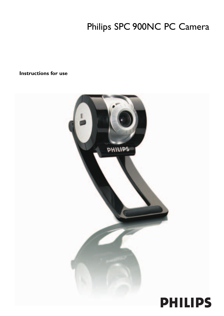# Philips SPC 900NC PC Camera

**Instructions for use**

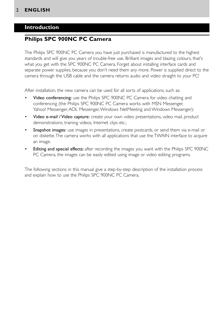## **Introduction**

## **Philips SPC 900NC PC Camera**

The Philips SPC 900NC PC Camera you have just purchased is manufactured to the highest standards and will give you years of trouble-free use. Brilliant images and blazing colours, that's what you get with the SPC 900NC PC Camera. Forget about installing interface cards and separate power supplies, because you don't need them any more. Power is supplied direct to the camera through the USB cable and the camera returns audio and video straight to your PC!

After installation, the new camera can be used for all sorts of applications, such as:

- Video conferencing: use the Philips SPC 900NC PC Camera for video chatting and conferencing (the Philips SPC 900NC PC Camera works with MSN Messenger, Yahoo! Messenger, AOL Messenger, Windows NetMeeting and Windows Messenger);
- Video e-mail / Video capture: create your own video presentations, video mail, product demonstrations, training videos, Internet clips etc.;
- **Snapshot images:** use images in presentations, create postcards, or send them via e-mail or on diskette.The camera works with all applications that use the TWAIN interface to acquire an image.
- **Editing and special effects:** after recording the images you want with the Philips SPC 900NC PC Camera, the images can be easily edited using image or video editing programs.

The following sections in this manual give a step-by-step description of the installation process and explain how to use the Philips SPC 900NC PC Camera.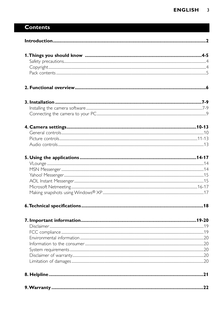# **Contents**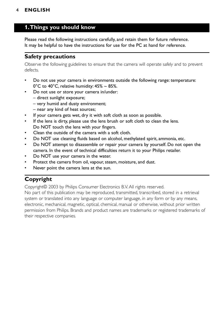# **1.Things you should know**

Please read the following instructions carefully, and retain them for future reference. It may be helpful to have the instructions for use for the PC at hand for reference.

### **Safety precautions**

Observe the following guidelines to ensure that the camera will operate safely and to prevent defects.

- Do not use your camera in environments outside the following range: temperature:  $0^{\circ}$ C to 40°C, relative humidity: 45% ~ 85%.
- Do not use or store your camera in/under:
	- direct sunlight exposure;
	- very humid and dusty environment;
	- near any kind of heat sources;
- If your camera gets wet, dry it with soft cloth as soon as possible.
- If the lens is dirty, please use the lens brush or soft cloth to clean the lens. Do NOT touch the lens with your fingers.
- Clean the outside of the camera with a soft cloth.
- Do NOT use cleaning fluids based on alcohol, methylated spirit, ammonia, etc.
- Do NOT attempt to disassemble or repair your camera by yourself. Do not open the camera. In the event of technical difficulties return it to your Philips retailer.
- Do NOT use your camera in the water.
- Protect the camera from oil, vapour, steam, moisture, and dust.
- Never point the camera lens at the sun.

# **Copyright**

Copyright© 2003 by Philips Consumer Electronics B.V. All rights reserved.

No part of this publication may be reproduced, transmitted, transcribed, stored in a retrieval system or translated into any language or computer language, in any form or by any means, electronic, mechanical, magnetic, optical, chemical, manual or otherwise, without prior written permission from Philips. Brands and product names are trademarks or registered trademarks of their respective companies.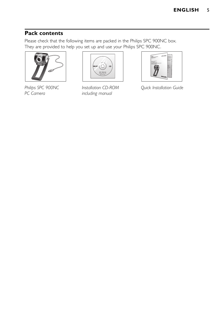# **Pack contents**

Please check that the following items are packed in the Philips SPC 900NC box. They are provided to help you set up and use your Philips SPC 900NC.





*Philips SPC 900NC Installation CD-ROM Quick Installation Guide including manual* 

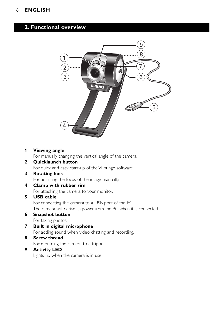# **2. Functional overview**



#### **1 Viewing angle**

For manually changing the vertical angle of the camera.

# **2 Quicklaunch button**

For quick and easy start-up of the VLounge software.

#### **3 Rotating lens**

For adjusting the focus of the image manually.

**4 Clamp with rubber rim** For attaching the camera to your monitor.

#### **5 USB cable**

For connecting the camera to a USB port of the PC. The camera will derive its power from the PC when it is connected.

- **6 Snapshot button** For taking photos.
- **7 Built in digital microphone** For adding sound when video chatting and recording.

# **8 Screw thread**

For moutning the camera to a tripod.

### **9 Activity LED**

Lights up when the camera is in use.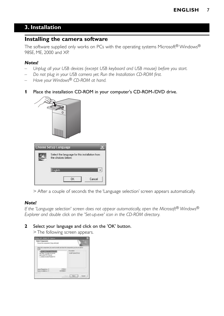# **3. Installation**

### **Installing the camera software**

The software supplied only works on PCs with the operating systems Microsoft® Windows® 98SE, ME, 2000 and XP.

#### *Notes!*

- *Unplug all your USB devices (except USB keyboard and USB mouse) before you start.*
- *Do not plug in your USB camera yet. Run the Installation CD-ROM first.*

Cancel

- *Have your Windows*® *CD-ROM at hand.*
- **1** Place the installation CD-ROM in your computer's CD-ROM-/DVD drive.



0K

> After a couple of seconds the the 'Language selection' screen appears automatically.

#### *Note!*

*If the 'Language selection' screen does not appear automatically, open the Microsoft® Windows® Explorer and double click on the 'Set-up.exe' icon in the CD-ROM directory.*

#### **2** Select your language and click on the 'OK' button.

> The following screen appears.

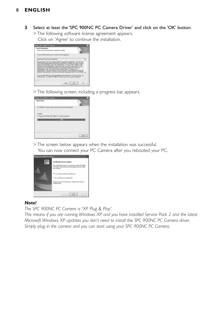**3** Select at least the 'SPC 900NC PC Camera Driver' and click on the 'OK' button.

> The following software license agreement appears.

Click on 'Agree' to continue the installation.



> The following screen, including a progress bar, appears.



> The screen below appears when the installation was successful.

You can now connect your PC Camera after you rebooted your PC.



#### *Note!*

*The SPC 900NC PC Camera is 'XP Plug & Play'.*

*This means if you are running Windows XP and you have installed Service Pack 2 and the latest Microsoft Windows XP updates you don't need to install the SPC 900NC PC Camera driver. Simply plug in the camera and you can start using your SPC 900NC PC Camera.*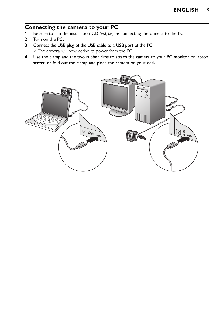# **Connecting the camera to your PC**<br>**1** Be sure to run the installation CD first before

- **1** Be sure to run the installation CD *first, before* connecting the camera to the PC.
- **2** Turn on the PC.
- **3** Connect the USB plug of the USB cable to a USB port of the PC. > The camera will now derive its power from the PC.
- **4** Use the clamp and the two rubber rims to attach the camera to your PC monitor or laptop screen or fold out the clamp and place the camera on your desk.

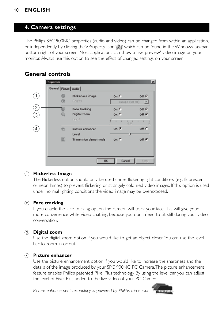### **4. Camera settings**

The Philips SPC 900NC properties (audio and video) can be changed from within an application, or independently by clicking the VProperty icon ', ' I which can be found in the Windows taskbar bottom right of your screen. Most applications can show a 'live preview' video image on your monitor. Always use this option to see the effect of changed settings on your screen.

| Properties   |                           |                |       |
|--------------|---------------------------|----------------|-------|
|              | General Picture Audio     |                |       |
| $\mathbf{1}$ | Flickerless image         | $On \subset$   | Off G |
|              | m<br>Region               | Europe (50 Hz) | E     |
|              | Face tracking             | $On \subset$   | off ⊕ |
|              | Digital zoom              | On C           | Off G |
|              | Level.                    | ٠<br>٠<br>4.5  |       |
|              | Picture enhancer          | On $G$         | off C |
|              | Level                     |                |       |
|              | m<br>Trimension demo mode | on $\subset$   | Off F |

#### 1 **Flickerless Image**

The Flickerless option should only be used under flickering light conditions (e.g. fluorescent or neon lamps) to prevent flickering or strangely coloured video images. If this option is used under normal lighting conditions the video image may be overexposed.

#### 2 **Face tracking**

If you enable the face tracking option the camera will track your face.This will give your more convenience while video chatting, because you don't need to sit still during your video conversation.

#### 3 **Digital zoom**

Use the digital zoom option if you would like to get an object closer.You can use the level bar to zoom in or out.

#### 4 **Picture enhancer**

Use the picture enhancement option if you would like to increase the sharpness and the details of the image produced by your SPC 900NC PC Camera.The picture enhancement feature enables Philips patented Pixel Plus technology. By using the level bar you can adjust the level of Pixel Plus added to the live video of your PC Camera.

Picture enhancement technology is powered by Philips Trimension

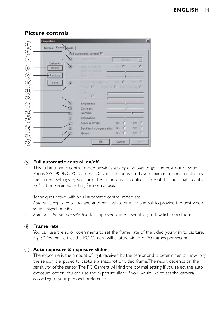|                           | Properties            |   |                                                                        |        |                  |            | $\vert x \vert$ |
|---------------------------|-----------------------|---|------------------------------------------------------------------------|--------|------------------|------------|-----------------|
| 5                         | General Picture Audio |   |                                                                        |        |                  |            |                 |
| 6                         |                       |   | Full automatic control M                                               |        |                  |            |                 |
|                           | Defaults              |   | Frameri Fate                                                           |        | 10 Tps           |            | m.              |
| 8                         | Reset                 |   | Auto Exposure<br>Shutter Speed                                         |        | $O(H \otimes G)$ | <b>Off</b> |                 |
| $\overline{9}$            | Restore.              |   | <b>German</b>                                                          |        |                  |            |                 |
| $\widehat{\mathfrak{10}}$ | Save                  |   | Auto White Delance On SC<br>Indoor $C$ Dominar $C$ . Financialment $C$ |        |                  | <b>Off</b> |                 |
| $\widehat{\mathbb{U}}$    |                       |   | <b>Black</b>                                                           |        |                  |            |                 |
| $\widehat{\mathbb{2}}$    |                       |   | Elon 2                                                                 |        |                  |            |                 |
| $\widehat{13}$            |                       |   | <b>Brightness</b>                                                      |        |                  |            |                 |
| $\widehat{\mathbb{14}}$   |                       |   | Contrast<br>Gamma                                                      |        |                  |            |                 |
| 15                        |                       |   | Saturation                                                             |        |                  |            |                 |
|                           |                       |   | Black & White                                                          | On:    |                  | Off        | $\sqrt{2}$      |
| $\widehat{\mathfrak{g}}$  |                       |   | Backlight compensation                                                 | On:    |                  | Off        | $\sqrt{2}$      |
| $\widehat{\mathbb{U}}$    |                       | n | Mirror.                                                                | Õn.    |                  | Off        | $\sqrt{2}$      |
| 18                        |                       |   | OK.                                                                    | Cancel |                  |            | Apple           |

#### **Picture controls**

#### 5 **Full automatic control: on/off**

This full automatic control mode provides a very easy way to get the best out of your Philips SPC 900NC PC Camera. Or you can choose to have maximum manual control over the camera settings by switching the full automatic control mode off. Full automatic control 'on' is the preferred setting for normal use.

Techniques active within full automatic control mode are:

- *Automatic exposure control* and automatic white balance control, to provide the best video source signal possible;
- *Automatic frame rate selection* for improved camera sensitivity in low light conditions.

#### 6 **Frame rate**

You can use the scroll open menu to set the frame rate of the video you wish to capture. E.g. 30 fps means that the PC Camera will capture video of 30 frames per second.

#### 7 **Auto exposure & exposure slider**

The exposure is the amount of light received by the sensor and is determined by how long the sensor is exposed to capture a snapshot or video frame.The result depends on the sensitivity of the sensor.The PC Camera will find the optimal setting if you select the auto exposure option.You can use the exposure slider if you would like to set the camera according to your personal preferences.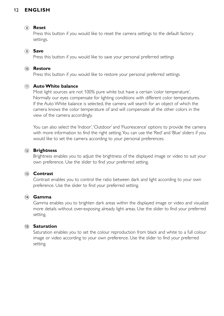#### 8 **Reset**

Press this button if you would like to reset the camera settings to the default factory settings.

#### 9 **Save**

Press this button if you would like to save your personal preferred settings

#### 0 **Restore**

Press this button if you would like to restore your personal preferred settings

#### ! **Auto White balance**

Most light sources are not 100% pure white but have a certain 'color temperature'. Normally our eyes compensate for lighting conditions with different color temperatures. If the Auto White balance is selected, the camera will search for an object of which the camera knows the color temperature of and will compensate all the other colors in the view of the camera accordingly.

You can also select the 'Indoor','Outdoor' and 'Fluorescence' options to provide the camera with more information to find the right setting.You can use the 'Red' and 'Blue' sliders if you would like to set the camera according to your personal preferences.

#### @ **Brightness**

Brightness enables you to adjust the brightness of the displayed image or video to suit your own preference. Use the slider to find your preferred setting.

#### **13 Contrast**

Contrast enables you to control the ratio between dark and light according to your own preference. Use the slider to find your preferred setting.

#### \$ **Gamma**

Gamma enables you to brighten dark areas within the displayed image or video and visualize more details without over-exposing already light areas. Use the slider to find your preferred setting.

#### $(15)$  **Saturation**

Saturation enables you to set the colour reproduction from black and white to a full colour image or video according to your own preference. Use the slider to find your preferred setting.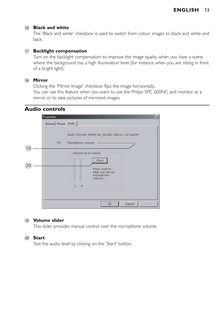#### $(16)$  **Black and white**

The 'Black and white' checkbox is used to switch from colour images to black and white and back.

#### $(1)$  **Backlight compensation**

Turn on the backlight compensation to improve the image quality when you have a scene where the background has a high illumination level (for instance when you are sitting in front of a bright light).

#### $(18)$  **Mirror**

Clicking the 'Mirror Image' checkbox flips the image horizontally.

You can use this feature when you want to use the Philips SPC 600NC and monitor as a mirror, or to take pictures of mirrored images.

### **Audio controls**

|     | <b>Properties</b>     |                                                                                                                           | ×     |
|-----|-----------------------|---------------------------------------------------------------------------------------------------------------------------|-------|
|     | General Picture Audio |                                                                                                                           |       |
|     |                       | Audio Format: 44100 Hz, 16 bits, Stereo, CD quality                                                                       |       |
|     | <b>Mill</b>           | Microphone volume                                                                                                         |       |
| (19 |                       | Volume level wizard                                                                                                       |       |
|     |                       | Start                                                                                                                     |       |
|     |                       | <br>m<br>Press start to<br>−<br><br><br><br>help you set-up<br>m<br>m<br>microphone<br><br>╾<br><br>volume.<br>-<br>m<br> |       |
|     |                       | R<br>L.                                                                                                                   |       |
|     |                       | OK.<br>Cancel                                                                                                             | ActFA |

#### ( **Volume slider**

This slider provides manual control over the microphone volume.

#### ) **Start**

Test the audio level by clicking on the 'Start' button.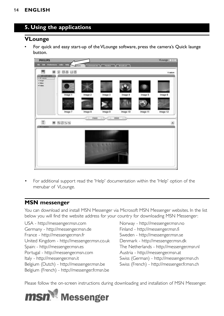# **5. Using the applications**

### **VLounge**

• For quick and easy start-up of the VLounge software, press the camera's Quick launge button.



• For additional support read the 'Help' documentation within the 'Help' option of the menubar of VLounge.

### **MSN messenger**

You can download and install MSN Messenger via Microsoft MSN Messenger websites. In the list below you will find the website address for your country for downloading MSN Messenger:

USA - http://messenger.msn.com Norway - http://messenger.msn.no Germany - http://messenger.msn.de Finland - http://messenger.msn.fi France - http://messenger.msn.fr Sweden - http://messenger.msn.se United Kingdom - http://messenger.msn.co.uk Denmark - http://messenger.msn.dk Spain: - http://messenger.msn.es The Netherlands - http://messenger.msn.nl Portugal - http://messenger.msn.com Austria - http://messenger.msn.at Italy - http://messenger.msn.it Swiss (German) - http://messenger.msn.ch Belgium (Dutch) - http://messenger.msn.be Swiss (French) - http://messenger.fr.msn.ch Belgium (French) - http://messenger.fr.msn.be

Please follow the on-screen instructions during downloading and installation of MSN Messenger.

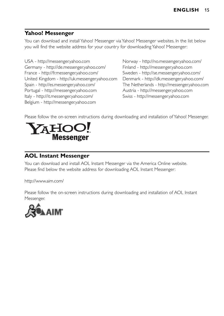# **Yahoo! Messenger**

You can download and install Yahoo! Messenger via Yahoo! Messenger websites. In the list below you will find the website address for your country for downloading Yahoo! Messenger:

USA - http://messenger.yahoo.com Norway - http://no.messenger.yahoo.com/ Germany - http://de.messenger.yahoo.com/ Finland - http://messenger.yahoo.com France - http://fr.messenger.yahoo.com/ Sweden - http://se.messenger.yahoo.com/ United Kingdom - http://uk.messenger.yahoo.com Denmark - http://dk.messenger.yahoo.com/ Spain - http://es.messenger.yahoo.com/ The Netherlands - http://messenger.yahoo.com Portugal - http://messenger.yahoo.com Austria - http://messenger.yahoo.com Italy - http://it.messenger.yahoo.com/ Swiss - http://messenger.yahoo.com Belgium - http://messenger.yahoo.com

Please follow the on-screen instructions during downloading and installation of Yahoo! Messenger.



## **AOL Instant Messenger**

You can download and install AOL Instant Messenger via the America Online website. Please find below the website address for downloading AOL Instant Messenger:

http://www.aim.com/

Please follow the on-screen instructions during downloading and installation of AOL Instant Messenger.

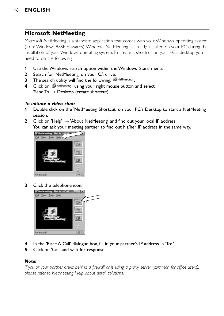## **Microsoft NetMeeting**

Microsoft NetMeeting is a standard application that comes with your Windows operating system (from Windows 98SE onwards).Windows NetMeeting is already installed on your PC during the installation of your Windows operating system.To create a shortcut on your PC's desktop you need to do the following:

- **1** Use the Windows search option within the Windows 'Start' menu.
- **2** Search for 'NetMeeting' on your C:\ drive.
- **3** The search utility will find the following: NetMeeting.
- **4** Click on **WetMeeting** using your right mouse button and select: 'Send To  $\rightarrow$  Desktop (create shortcut)'.

#### *To initiate a video chat:*

- **1** Double click on the 'NetMeeting Shortcut' on your PC's Desktop to start a NetMeeting session.
- **2** Click on 'Help' → 'About NetMeeting' and find out your local IP address. You can ask your meeting partner to find out his/her IP address in the same way.



**3** Click the telephone icon.



- **4** In the 'Place A Call' dialogue box, fill in your partner's IP address in 'To: '
- **5** Click on 'Call' and wait for response.

#### *Note!*

*If you or your partner are/is behind a firewall or is using a proxy server (common for office users), please refer to NetMeeting Help about detail solutions.*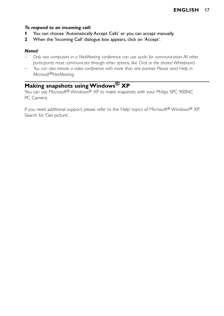#### *To respond to an incoming call:*

- **1** You can choose 'Automatically Accept Calls' or you can accept manually.
- **2** When the 'Incoming Call' dialogue box appears, click on 'Accept'.

#### *Notes!*

- *Only two computers in a NetMeeting conference can use audio for communication. All other participants must communicate through other options, like Chat or the shared Whiteboard.*
- *You can also initiate a video conference with more than one partner. Please read Help in Microsoft®NetMeeting.*

# **Making snapshots using Windows® XP**

You can use Microsoft® Windows® XP to make snapshots with your Philips SPC 900NC PC Camera.

If you need additional support, please refer to the 'Help' topics of Microsoft® Windows® XP. Search for 'Get picture'.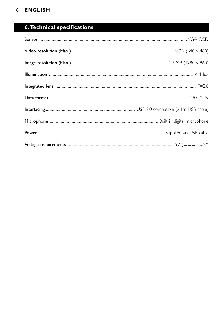# **6. Technical specifications**

| $\textbf{Integrated lens} \textcolor{red}{} \textcolor{red}{} \textcolor{red}{} \textcolor{red}{} \textcolor{red}{} \textcolor{red}{} \textcolor{red}{} \textcolor{red}{} \textcolor{red}{} \textcolor{red}{} \textcolor{red}{} \textcolor{red}{} \textcolor{red}{} \textcolor{red}{} \textcolor{red}{} \textcolor{red}{} \textcolor{red}{} \textcolor{red}{} \textcolor{red}{} \textcolor{red}{} \textcolor{red}{} \textcolor{red}{} \textcolor{red}{} \textcolor{red}{} \textcolor{red}{} \textcolor{red}{} \textcolor{$ |
|----------------------------------------------------------------------------------------------------------------------------------------------------------------------------------------------------------------------------------------------------------------------------------------------------------------------------------------------------------------------------------------------------------------------------------------------------------------------------------------------------------------------------|
|                                                                                                                                                                                                                                                                                                                                                                                                                                                                                                                            |
|                                                                                                                                                                                                                                                                                                                                                                                                                                                                                                                            |
|                                                                                                                                                                                                                                                                                                                                                                                                                                                                                                                            |
|                                                                                                                                                                                                                                                                                                                                                                                                                                                                                                                            |
|                                                                                                                                                                                                                                                                                                                                                                                                                                                                                                                            |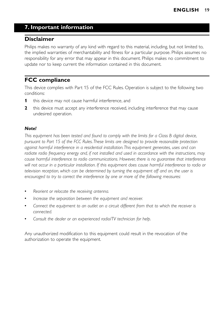# **7. Important information**

### **Disclaimer**

Philips makes no warranty of any kind with regard to this material, including, but not limited to, the implied warranties of merchantability and fitness for a particular purpose. Philips assumes no responsibility for any error that may appear in this document. Philips makes no commitment to update nor to keep current the information contained in this document.

# **FCC compliance**

This device complies with Part 15 of the FCC Rules. Operation is subject to the following two conditions:

- **1** this device may not cause harmful interference, and
- **2** this device must accept any interference received, including interference that may cause undesired operation.

#### *Note!*

*This equipment has been tested and found to comply with the limits for a Class B digital device, pursuant to Part 15 of the FCC Rules.These limits are designed to provide reasonable protection against harmful interference in a residential installation.This equipment generates, uses and can radiate radio frequency energy and, if not installed and used in accordance with the instructions, may cause harmful interference to radio communications. However, there is no guarantee that interference will not occur in a particular installation. If this equipment does cause harmful interference to radio or television reception, which can be determined by turning the equipment off and on, the user is encouraged to try to correct the interference by one or more of the following measures:*

- *Reorient or relocate the receiving antenna.*
- *Increase the separation between the equipment and receiver.*
- *Connect the equipment to an outlet on a circuit different from that to which the receiver is connected.*
- *Consult the dealer or an experienced radio/TV technician for help.*

Any unauthorized modification to this equipment could result in the revocation of the authorization to operate the equipment.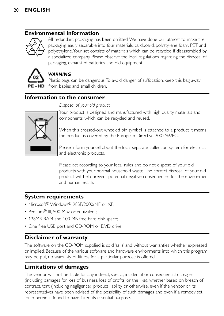# **Environmental information**



All redundant packaging has been omitted.We have done our utmost to make the packaging easily separable into four materials: cardboard, polystyrene foam, PET and polyethylene.Your set consists of materials which can be recycled if disassembled by a specialized company. Please observe the local regulations regarding the disposal of packaging, exhausted batteries and old equipment.



### *WARNING*

Plastic bags can be dangerous.To avoid danger of suffocation, keep this bag away from babies and small children.

# **Information to the consumer**

*Disposal of your old product* 



Your product is designed and manufactured with high quality materials and components, which can be recycled and reused.

When this crossed-out wheeled bin symbol is attached to a product it means the product is covered by the European Directive 2002/96/EC.

Please inform yourself about the local separate collection system for electrical and electronic products.

Please act according to your local rules and do not dispose of your old products with your normal household waste.The correct disposal of your old product will help prevent potential negative consequences for the environment and human health.

### **System requirements**

- Microsoft® Windows® 98SE/2000/ME or XP:
- Pentium<sup>®</sup> III, 500 Mhz or equivalent;
- 128MB RAM and 100 MB free hard disk space;
- One free USB port and CD-ROM or DVD drive.

# **Disclaimer of warranty**

The software on the CD-ROM supplied is sold 'as is' and without warranties whether expressed or implied. Because of the various software and hardware environments into which this program may be put, no warranty of fitness for a particular purpose is offered.

# **Limitations of damages**

The vendor will not be liable for any indirect, special, incidental or consequential damages (including damages for loss of business, loss of profits, or the like), whether based on breach of contract, tort (including negligence), product liability or otherwise, even if the vendor or its representatives have been advised of the possibility of such damages and even if a remedy set forth herein is found to have failed its essential purpose.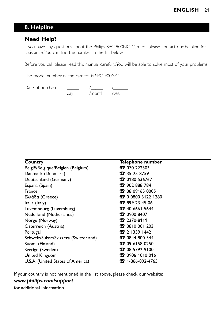# **8. Helpline**

# **Need Help?**

If you have any questions about the Philips SPC 900NC Camera, please contact our helpline for assistance! You can find the number in the list below.

Before you call, please read this manual carefully.You will be able to solve most of your problems.

The model number of the camera is SPC 900NC.

| Date of purchase: |     |              |  |
|-------------------|-----|--------------|--|
|                   | dav | /month /year |  |

| Country                               | Telephone number            |
|---------------------------------------|-----------------------------|
| België/Belgique/Belgien (Belgium)     | $\sqrt{2}$ 070 222303       |
| Danmark (Denmark)                     | $35 - 25 - 8759$            |
| Deutschland (Germany)                 | <b>12</b> 0180 536767       |
| Espana (Spain)                        | <b>12</b> 902 888 784       |
| France                                | <b>12</b> 08 09165 0005     |
| Ελλάδα (Greece)                       | <b>12</b> 0 0800 3122 1280  |
| Italia (Italy)                        | <b>12</b> 899 23 45 06      |
| Luxembourg (Luxemburg)                | <b>12</b> 40 6661 5644      |
| Nederland (Netherlands)               | <b>12</b> 0900 8407         |
| Norge (Norway)                        | <b>T</b> 2270-8111          |
| Österreich (Austria)                  | <b>12</b> 0810 001 203      |
| Portugal                              | $27$ 1359 1442              |
| Schweiz/Suisse/Svizzera (Switzerland) | <b>12</b> 0844 800 544      |
| Suomi (Finland)                       | <b>12</b> 09 6158 0250      |
| Sverige (Sweden)                      | <b>12</b> 08 5792 9100      |
| United Kingdom                        | <b>12</b> 0906 1010 016     |
| U.S.A. (United States of America)     | $32 - 1 - 866 - 892 - 4765$ |

If your country is not mentioned in the list above, please check our website:

### *www.philips.com/support*

for additional information.